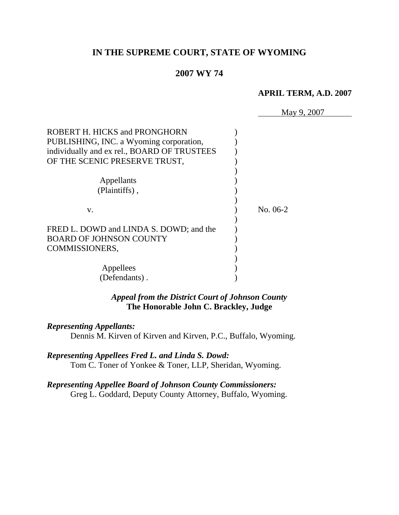# **IN THE SUPREME COURT, STATE OF WYOMING**

#### **2007 WY 74**

#### **APRIL TERM, A.D. 2007**

|                                             | May 9, 2007 |
|---------------------------------------------|-------------|
| ROBERT H. HICKS and PRONGHORN               |             |
| PUBLISHING, INC. a Wyoming corporation,     |             |
| individually and ex rel., BOARD OF TRUSTEES |             |
| OF THE SCENIC PRESERVE TRUST,               |             |
|                                             |             |
| Appellants                                  |             |
| (Plaintiffs),                               |             |
| V.                                          | No. 06-2    |
| FRED L. DOWD and LINDA S. DOWD; and the     |             |
| <b>BOARD OF JOHNSON COUNTY</b>              |             |
| COMMISSIONERS,                              |             |
|                                             |             |
| Appellees                                   |             |
| (Defendants).                               |             |
|                                             |             |

### *Appeal from the District Court of Johnson County* **The Honorable John C. Brackley, Judge**

#### *Representing Appellants:*

Dennis M. Kirven of Kirven and Kirven, P.C., Buffalo, Wyoming.

*Representing Appellees Fred L. and Linda S. Dowd:* Tom C. Toner of Yonkee & Toner, LLP, Sheridan, Wyoming.

*Representing Appellee Board of Johnson County Commissioners:* Greg L. Goddard, Deputy County Attorney, Buffalo, Wyoming.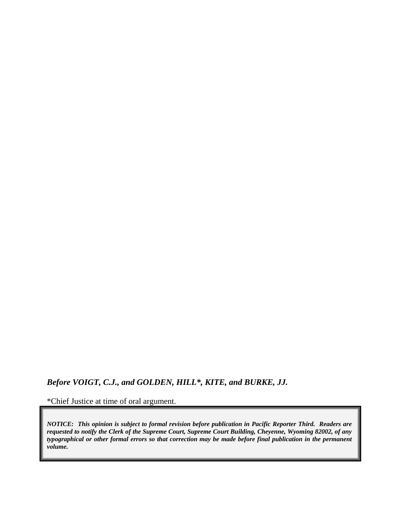# *Before VOIGT, C.J., and GOLDEN, HILL\*, KITE, and BURKE, JJ.*

\*Chief Justice at time of oral argument.

*NOTICE: This opinion is subject to formal revision before publication in Pacific Reporter Third. Readers are requested to notify the Clerk of the Supreme Court, Supreme Court Building, Cheyenne, Wyoming 82002, of any typographical or other formal errors so that correction may be made before final publication in the permanent volume.*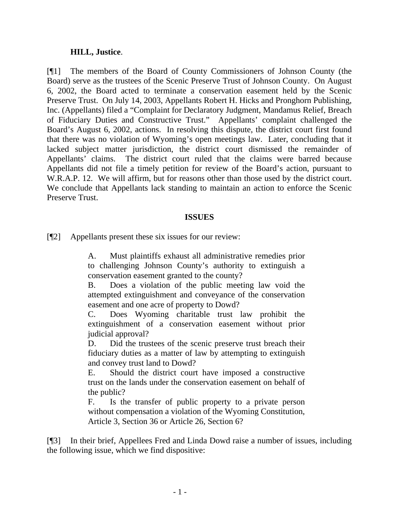#### **HILL, Justice**.

[¶1] The members of the Board of County Commissioners of Johnson County (the Board) serve as the trustees of the Scenic Preserve Trust of Johnson County. On August 6, 2002, the Board acted to terminate a conservation easement held by the Scenic Preserve Trust. On July 14, 2003, Appellants Robert H. Hicks and Pronghorn Publishing, Inc. (Appellants) filed a "Complaint for Declaratory Judgment, Mandamus Relief, Breach of Fiduciary Duties and Constructive Trust." Appellants' complaint challenged the Board's August 6, 2002, actions. In resolving this dispute, the district court first found that there was no violation of Wyoming's open meetings law. Later, concluding that it lacked subject matter jurisdiction, the district court dismissed the remainder of Appellants' claims. The district court ruled that the claims were barred because Appellants did not file a timely petition for review of the Board's action, pursuant to W.R.A.P. 12. We will affirm, but for reasons other than those used by the district court. We conclude that Appellants lack standing to maintain an action to enforce the Scenic Preserve Trust.

#### **ISSUES**

[¶2] Appellants present these six issues for our review:

A. Must plaintiffs exhaust all administrative remedies prior to challenging Johnson County's authority to extinguish a conservation easement granted to the county?

B. Does a violation of the public meeting law void the attempted extinguishment and conveyance of the conservation easement and one acre of property to Dowd?

C. Does Wyoming charitable trust law prohibit the extinguishment of a conservation easement without prior judicial approval?

D. Did the trustees of the scenic preserve trust breach their fiduciary duties as a matter of law by attempting to extinguish and convey trust land to Dowd?

E. Should the district court have imposed a constructive trust on the lands under the conservation easement on behalf of the public?

F. Is the transfer of public property to a private person without compensation a violation of the Wyoming Constitution, Article 3, Section 36 or Article 26, Section 6?

[¶3] In their brief, Appellees Fred and Linda Dowd raise a number of issues, including the following issue, which we find dispositive: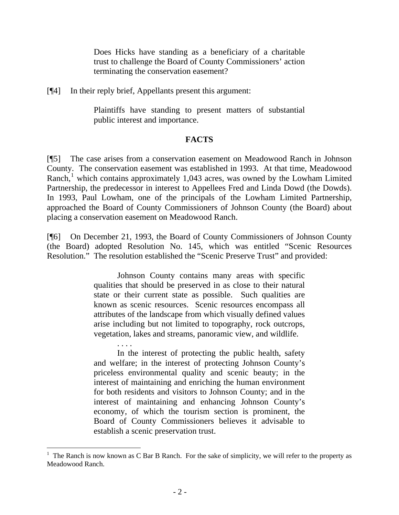Does Hicks have standing as a beneficiary of a charitable trust to challenge the Board of County Commissioners' action terminating the conservation easement?

[¶4] In their reply brief, Appellants present this argument:

Plaintiffs have standing to present matters of substantial public interest and importance.

#### **FACTS**

[¶5] The case arises from a conservation easement on Meadowood Ranch in Johnson County. The conservation easement was established in 1993. At that time, Meadowood Ranch,<sup>[1](#page-4-0)</sup> which contains approximately 1,043 acres, was owned by the Lowham Limited Partnership, the predecessor in interest to Appellees Fred and Linda Dowd (the Dowds). In 1993, Paul Lowham, one of the principals of the Lowham Limited Partnership, approached the Board of County Commissioners of Johnson County (the Board) about placing a conservation easement on Meadowood Ranch.

[¶6] On December 21, 1993, the Board of County Commissioners of Johnson County (the Board) adopted Resolution No. 145, which was entitled "Scenic Resources Resolution." The resolution established the "Scenic Preserve Trust" and provided:

> Johnson County contains many areas with specific qualities that should be preserved in as close to their natural state or their current state as possible. Such qualities are known as scenic resources. Scenic resources encompass all attributes of the landscape from which visually defined values arise including but not limited to topography, rock outcrops, vegetation, lakes and streams, panoramic view, and wildlife.

> In the interest of protecting the public health, safety and welfare; in the interest of protecting Johnson County's priceless environmental quality and scenic beauty; in the interest of maintaining and enriching the human environment for both residents and visitors to Johnson County; and in the interest of maintaining and enhancing Johnson County's economy, of which the tourism section is prominent, the Board of County Commissioners believes it advisable to establish a scenic preservation trust.

<span id="page-4-0"></span> $<sup>1</sup>$  The Ranch is now known as C Bar B Ranch. For the sake of simplicity, we will refer to the property as</sup> Meadowood Ranch.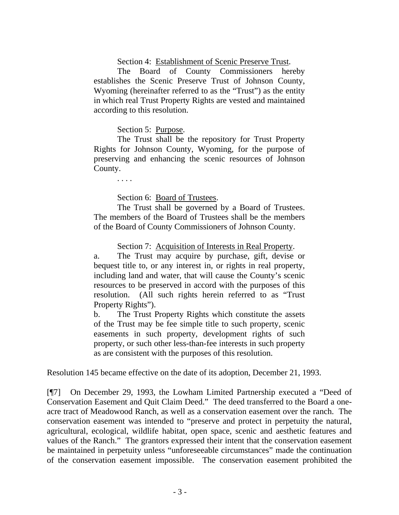#### Section 4: Establishment of Scenic Preserve Trust.

The Board of County Commissioners hereby establishes the Scenic Preserve Trust of Johnson County, Wyoming (hereinafter referred to as the "Trust") as the entity in which real Trust Property Rights are vested and maintained according to this resolution.

Section 5: Purpose.

The Trust shall be the repository for Trust Property Rights for Johnson County, Wyoming, for the purpose of preserving and enhancing the scenic resources of Johnson County.

. . . .

Section 6: Board of Trustees.

The Trust shall be governed by a Board of Trustees. The members of the Board of Trustees shall be the members of the Board of County Commissioners of Johnson County.

Section 7: Acquisition of Interests in Real Property.

a. The Trust may acquire by purchase, gift, devise or bequest title to, or any interest in, or rights in real property, including land and water, that will cause the County's scenic resources to be preserved in accord with the purposes of this resolution. (All such rights herein referred to as "Trust Property Rights").

b. The Trust Property Rights which constitute the assets of the Trust may be fee simple title to such property, scenic easements in such property, development rights of such property, or such other less-than-fee interests in such property as are consistent with the purposes of this resolution.

Resolution 145 became effective on the date of its adoption, December 21, 1993.

[¶7] On December 29, 1993, the Lowham Limited Partnership executed a "Deed of Conservation Easement and Quit Claim Deed." The deed transferred to the Board a oneacre tract of Meadowood Ranch, as well as a conservation easement over the ranch. The conservation easement was intended to "preserve and protect in perpetuity the natural, agricultural, ecological, wildlife habitat, open space, scenic and aesthetic features and values of the Ranch." The grantors expressed their intent that the conservation easement be maintained in perpetuity unless "unforeseeable circumstances" made the continuation of the conservation easement impossible. The conservation easement prohibited the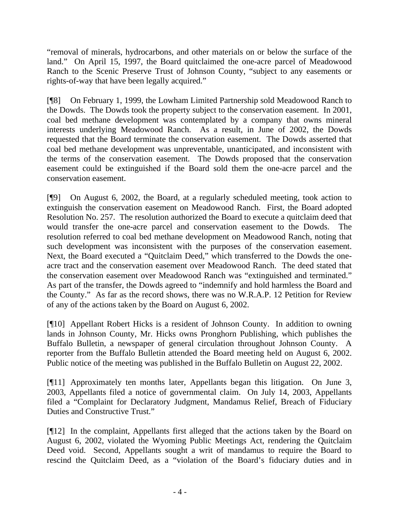"removal of minerals, hydrocarbons, and other materials on or below the surface of the land." On April 15, 1997, the Board quitclaimed the one-acre parcel of Meadowood Ranch to the Scenic Preserve Trust of Johnson County, "subject to any easements or rights-of-way that have been legally acquired."

[¶8] On February 1, 1999, the Lowham Limited Partnership sold Meadowood Ranch to the Dowds. The Dowds took the property subject to the conservation easement. In 2001, coal bed methane development was contemplated by a company that owns mineral interests underlying Meadowood Ranch. As a result, in June of 2002, the Dowds requested that the Board terminate the conservation easement. The Dowds asserted that coal bed methane development was unpreventable, unanticipated, and inconsistent with the terms of the conservation easement. The Dowds proposed that the conservation easement could be extinguished if the Board sold them the one-acre parcel and the conservation easement.

[¶9] On August 6, 2002, the Board, at a regularly scheduled meeting, took action to extinguish the conservation easement on Meadowood Ranch. First, the Board adopted Resolution No. 257. The resolution authorized the Board to execute a quitclaim deed that would transfer the one-acre parcel and conservation easement to the Dowds. The resolution referred to coal bed methane development on Meadowood Ranch, noting that such development was inconsistent with the purposes of the conservation easement. Next, the Board executed a "Quitclaim Deed," which transferred to the Dowds the oneacre tract and the conservation easement over Meadowood Ranch. The deed stated that the conservation easement over Meadowood Ranch was "extinguished and terminated." As part of the transfer, the Dowds agreed to "indemnify and hold harmless the Board and the County." As far as the record shows, there was no W.R.A.P. 12 Petition for Review of any of the actions taken by the Board on August 6, 2002.

[¶10] Appellant Robert Hicks is a resident of Johnson County. In addition to owning lands in Johnson County, Mr. Hicks owns Pronghorn Publishing, which publishes the Buffalo Bulletin, a newspaper of general circulation throughout Johnson County. A reporter from the Buffalo Bulletin attended the Board meeting held on August 6, 2002. Public notice of the meeting was published in the Buffalo Bulletin on August 22, 2002.

[¶11] Approximately ten months later, Appellants began this litigation. On June 3, 2003, Appellants filed a notice of governmental claim. On July 14, 2003, Appellants filed a "Complaint for Declaratory Judgment, Mandamus Relief, Breach of Fiduciary Duties and Constructive Trust."

[¶12] In the complaint, Appellants first alleged that the actions taken by the Board on August 6, 2002, violated the Wyoming Public Meetings Act, rendering the Quitclaim Deed void. Second, Appellants sought a writ of mandamus to require the Board to rescind the Quitclaim Deed, as a "violation of the Board's fiduciary duties and in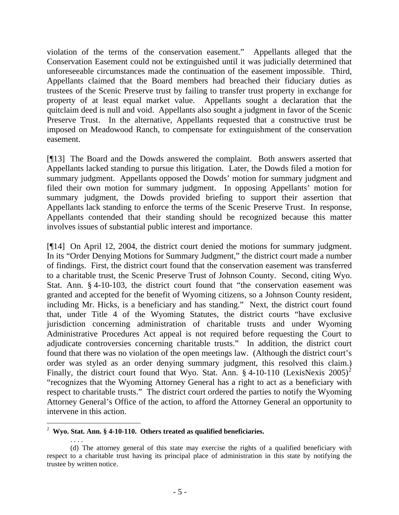violation of the terms of the conservation easement." Appellants alleged that the Conservation Easement could not be extinguished until it was judicially determined that unforeseeable circumstances made the continuation of the easement impossible. Third, Appellants claimed that the Board members had breached their fiduciary duties as trustees of the Scenic Preserve trust by failing to transfer trust property in exchange for property of at least equal market value. Appellants sought a declaration that the quitclaim deed is null and void. Appellants also sought a judgment in favor of the Scenic Preserve Trust. In the alternative, Appellants requested that a constructive trust be imposed on Meadowood Ranch, to compensate for extinguishment of the conservation easement.

[¶13] The Board and the Dowds answered the complaint. Both answers asserted that Appellants lacked standing to pursue this litigation. Later, the Dowds filed a motion for summary judgment. Appellants opposed the Dowds' motion for summary judgment and filed their own motion for summary judgment. In opposing Appellants' motion for summary judgment, the Dowds provided briefing to support their assertion that Appellants lack standing to enforce the terms of the Scenic Preserve Trust. In response, Appellants contended that their standing should be recognized because this matter involves issues of substantial public interest and importance.

[¶14] On April 12, 2004, the district court denied the motions for summary judgment. In its "Order Denying Motions for Summary Judgment," the district court made a number of findings. First, the district court found that the conservation easement was transferred to a charitable trust, the Scenic Preserve Trust of Johnson County. Second, citing Wyo. Stat. Ann. § 4-10-103, the district court found that "the conservation easement was granted and accepted for the benefit of Wyoming citizens, so a Johnson County resident, including Mr. Hicks, is a beneficiary and has standing." Next, the district court found that, under Title 4 of the Wyoming Statutes, the district courts "have exclusive jurisdiction concerning administration of charitable trusts and under Wyoming Administrative Procedures Act appeal is not required before requesting the Court to adjudicate controversies concerning charitable trusts." In addition, the district court found that there was no violation of the open meetings law. (Although the district court's order was styled as an order denying summary judgment, this resolved this claim.) Finally, the district court found that Wyo. Stat. Ann. § 4-10-110 (LexisNexis [2](#page-7-0)005)<sup>2</sup> "recognizes that the Wyoming Attorney General has a right to act as a beneficiary with respect to charitable trusts." The district court ordered the parties to notify the Wyoming Attorney General's Office of the action, to afford the Attorney General an opportunity to intervene in this action.

<span id="page-7-0"></span> $\overline{a}$ 2 **Wyo. Stat. Ann. § 4-10-110. Others treated as qualified beneficiaries.**

 <sup>. . . .</sup>  (d) The attorney general of this state may exercise the rights of a qualified beneficiary with respect to a charitable trust having its principal place of administration in this state by notifying the trustee by written notice.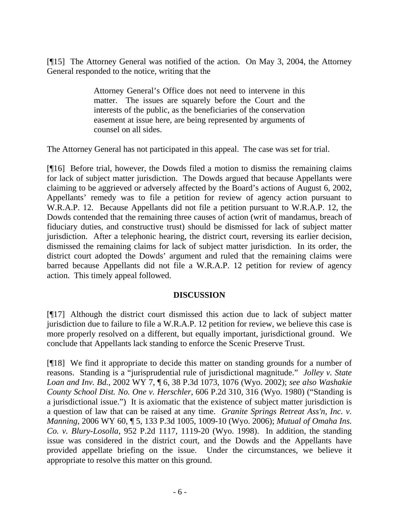[¶15] The Attorney General was notified of the action. On May 3, 2004, the Attorney General responded to the notice, writing that the

> Attorney General's Office does not need to intervene in this matter. The issues are squarely before the Court and the interests of the public, as the beneficiaries of the conservation easement at issue here, are being represented by arguments of counsel on all sides.

The Attorney General has not participated in this appeal. The case was set for trial.

[¶16] Before trial, however, the Dowds filed a motion to dismiss the remaining claims for lack of subject matter jurisdiction. The Dowds argued that because Appellants were claiming to be aggrieved or adversely affected by the Board's actions of August 6, 2002, Appellants' remedy was to file a petition for review of agency action pursuant to W.R.A.P. 12. Because Appellants did not file a petition pursuant to W.R.A.P. 12, the Dowds contended that the remaining three causes of action (writ of mandamus, breach of fiduciary duties, and constructive trust) should be dismissed for lack of subject matter jurisdiction. After a telephonic hearing, the district court, reversing its earlier decision, dismissed the remaining claims for lack of subject matter jurisdiction. In its order, the district court adopted the Dowds' argument and ruled that the remaining claims were barred because Appellants did not file a W.R.A.P. 12 petition for review of agency action. This timely appeal followed.

#### **DISCUSSION**

[¶17] Although the district court dismissed this action due to lack of subject matter jurisdiction due to failure to file a W.R.A.P. 12 petition for review, we believe this case is more properly resolved on a different, but equally important, jurisdictional ground. We conclude that Appellants lack standing to enforce the Scenic Preserve Trust.

[¶18] We find it appropriate to decide this matter on standing grounds for a number of reasons. Standing is a "jurisprudential rule of jurisdictional magnitude." *Jolley v. State Loan and Inv. Bd.*, 2002 WY 7, ¶ 6, 38 P.3d 1073, 1076 (Wyo. 2002); *see also Washakie County School Dist. No. One v. Herschler*, 606 P.2d 310, 316 (Wyo. 1980) ("Standing is a jurisdictional issue.") It is axiomatic that the existence of subject matter jurisdiction is a question of law that can be raised at any time. *Granite Springs Retreat Ass'n, Inc. v. Manning*, 2006 WY 60, ¶ 5, 133 P.3d 1005, 1009-10 (Wyo. 2006); *Mutual of Omaha Ins. Co. v. Blury-Losolla*, 952 P.2d 1117, 1119-20 (Wyo. 1998). In addition, the standing issue was considered in the district court, and the Dowds and the Appellants have provided appellate briefing on the issue. Under the circumstances, we believe it appropriate to resolve this matter on this ground.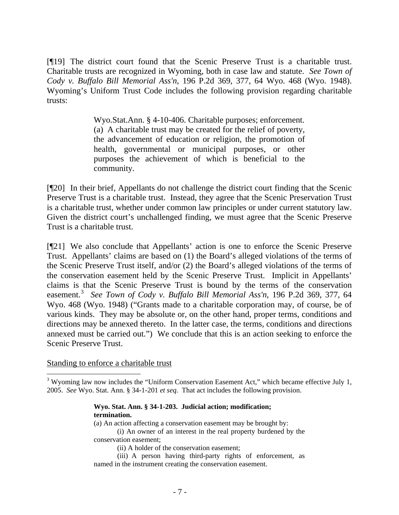[¶19] The district court found that the Scenic Preserve Trust is a charitable trust. Charitable trusts are recognized in Wyoming, both in case law and statute. *See Town of Cody v. Buffalo Bill Memorial Ass'n*, 196 P.2d 369, 377, 64 Wyo. 468 (Wyo. 1948). Wyoming's Uniform Trust Code includes the following provision regarding charitable trusts:

> Wyo.Stat.Ann. § 4-10-406. Charitable purposes; enforcement. (a) A charitable trust may be created for the relief of poverty, the advancement of education or religion, the promotion of health, governmental or municipal purposes, or other purposes the achievement of which is beneficial to the community.

[¶20] In their brief, Appellants do not challenge the district court finding that the Scenic Preserve Trust is a charitable trust. Instead, they agree that the Scenic Preservation Trust is a charitable trust, whether under common law principles or under current statutory law. Given the district court's unchallenged finding, we must agree that the Scenic Preserve Trust is a charitable trust.

[¶21] We also conclude that Appellants' action is one to enforce the Scenic Preserve Trust. Appellants' claims are based on (1) the Board's alleged violations of the terms of the Scenic Preserve Trust itself, and/or (2) the Board's alleged violations of the terms of the conservation easement held by the Scenic Preserve Trust. Implicit in Appellants' claims is that the Scenic Preserve Trust is bound by the terms of the conservation easement.<sup>[3](#page-9-0)</sup> See Town of Cody v. Buffalo Bill Memorial Ass'n, 196 P.2d 369, 377, 64 Wyo. 468 (Wyo. 1948) ("Grants made to a charitable corporation may, of course, be of various kinds. They may be absolute or, on the other hand, proper terms, conditions and directions may be annexed thereto. In the latter case, the terms, conditions and directions annexed must be carried out.") We conclude that this is an action seeking to enforce the Scenic Preserve Trust.

Standing to enforce a charitable trust

<span id="page-9-0"></span> $3$  Wyoming law now includes the "Uniform Conservation Easement Act," which became effective July 1, 2005. *See* Wyo. Stat. Ann. § 34-1-201 *et seq*. That act includes the following provision.

> **Wyo. Stat. Ann. § 34-1-203. Judicial action; modification; termination.**

(a) An action affecting a conservation easement may be brought by:

 (i) An owner of an interest in the real property burdened by the conservation easement;

(ii) A holder of the conservation easement;

 (iii) A person having third-party rights of enforcement, as named in the instrument creating the conservation easement.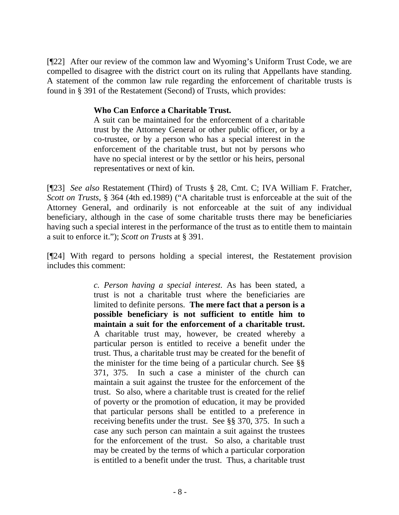[¶22] After our review of the common law and Wyoming's Uniform Trust Code, we are compelled to disagree with the district court on its ruling that Appellants have standing. A statement of the common law rule regarding the enforcement of charitable trusts is found in § 391 of the Restatement (Second) of Trusts, which provides:

### **Who Can Enforce a Charitable Trust.**

A suit can be maintained for the enforcement of a charitable trust by the Attorney General or other public officer, or by a co-trustee, or by a person who has a special interest in the enforcement of the charitable trust, but not by persons who have no special interest or by the settlor or his heirs, personal representatives or next of kin.

[¶23] *See also* Restatement (Third) of Trusts § 28, Cmt. C; IVA William F. Fratcher, *Scott on Trusts*, § 364 (4th ed.1989) ("A charitable trust is enforceable at the suit of the Attorney General, and ordinarily is not enforceable at the suit of any individual beneficiary, although in the case of some charitable trusts there may be beneficiaries having such a special interest in the performance of the trust as to entitle them to maintain a suit to enforce it."); *Scott on Trusts* at § 391.

[¶24] With regard to persons holding a special interest, the Restatement provision includes this comment:

> *c. Person having a special interest*. As has been stated, a trust is not a charitable trust where the beneficiaries are limited to definite persons. **The mere fact that a person is a possible beneficiary is not sufficient to entitle him to maintain a suit for the enforcement of a charitable trust.** A charitable trust may, however, be created whereby a particular person is entitled to receive a benefit under the trust. Thus, a charitable trust may be created for the benefit of the minister for the time being of a particular church. See §§ 371, 375. In such a case a minister of the church can maintain a suit against the trustee for the enforcement of the trust. So also, where a charitable trust is created for the relief of poverty or the promotion of education, it may be provided that particular persons shall be entitled to a preference in receiving benefits under the trust. See §§ 370, 375. In such a case any such person can maintain a suit against the trustees for the enforcement of the trust. So also, a charitable trust may be created by the terms of which a particular corporation is entitled to a benefit under the trust. Thus, a charitable trust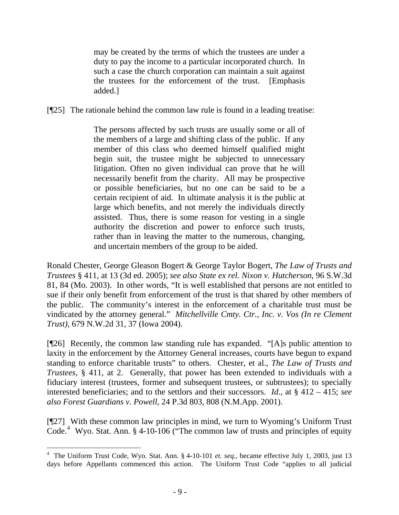may be created by the terms of which the trustees are under a duty to pay the income to a particular incorporated church. In such a case the church corporation can maintain a suit against the trustees for the enforcement of the trust. [Emphasis added.]

[¶25] The rationale behind the common law rule is found in a leading treatise:

The persons affected by such trusts are usually some or all of the members of a large and shifting class of the public. If any member of this class who deemed himself qualified might begin suit, the trustee might be subjected to unnecessary litigation. Often no given individual can prove that he will necessarily benefit from the charity. All may be prospective or possible beneficiaries, but no one can be said to be a certain recipient of aid. In ultimate analysis it is the public at large which benefits, and not merely the individuals directly assisted. Thus, there is some reason for vesting in a single authority the discretion and power to enforce such trusts, rather than in leaving the matter to the numerous, changing, and uncertain members of the group to be aided.

Ronald Chester, George Gleason Bogert & George Taylor Bogert, *The Law of Trusts and Trustees* § 411, at 13 (3d ed. 2005); *see also State ex rel. Nixon v. Hutcherson*, 96 S.W.3d 81, 84 (Mo. 2003). In other words, "It is well established that persons are not entitled to sue if their only benefit from enforcement of the trust is that shared by other members of the public. The community's interest in the enforcement of a charitable trust must be vindicated by the attorney general." *Mitchellville Cmty. Ctr., Inc. v. Vos (In re Clement Trust)*, 679 N.W.2d 31, 37 (Iowa 2004).

[¶26] Recently, the common law standing rule has expanded. "[A]s public attention to laxity in the enforcement by the Attorney General increases, courts have begun to expand standing to enforce charitable trusts" to others. Chester, et al., *The Law of Trusts and Trustees*, § 411, at 2. Generally, that power has been extended to individuals with a fiduciary interest (trustees, former and subsequent trustees, or subtrustees); to specially interested beneficiaries; and to the settlors and their successors. *Id*., at § 412 – 415; *see also Forest Guardians v. Powell*, 24 P.3d 803, 808 (N.M.App. 2001).

[¶27] With these common law principles in mind, we turn to Wyoming's Uniform Trust Code.<sup>[4](#page-11-0)</sup> Wyo. Stat. Ann. § 4-10-106 ("The common law of trusts and principles of equity

<span id="page-11-0"></span><sup>4</sup> The Uniform Trust Code, Wyo. Stat. Ann. § 4-10-101 *et. seq.*, became effective July 1, 2003, just 13 days before Appellants commenced this action. The Uniform Trust Code "applies to all judicial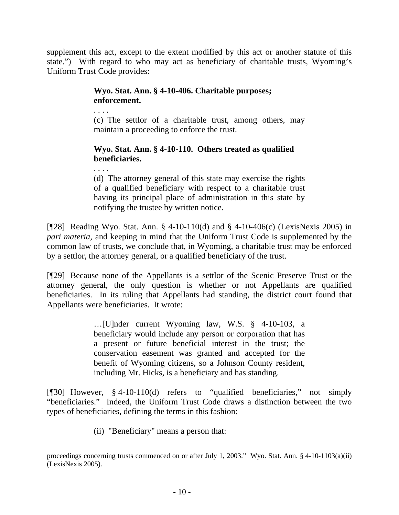supplement this act, except to the extent modified by this act or another statute of this state.") With regard to who may act as beneficiary of charitable trusts, Wyoming's Uniform Trust Code provides:

## **Wyo. Stat. Ann. § 4-10-406. Charitable purposes; enforcement.**

. . . .

(c) The settlor of a charitable trust, among others, may maintain a proceeding to enforce the trust.

# **Wyo. Stat. Ann. § 4-10-110. Others treated as qualified beneficiaries.**

(d) The attorney general of this state may exercise the rights of a qualified beneficiary with respect to a charitable trust having its principal place of administration in this state by notifying the trustee by written notice.

[¶28] Reading Wyo. Stat. Ann. § 4-10-110(d) and § 4-10-406(c) (LexisNexis 2005) in *pari materia*, and keeping in mind that the Uniform Trust Code is supplemented by the common law of trusts, we conclude that, in Wyoming, a charitable trust may be enforced by a settlor, the attorney general, or a qualified beneficiary of the trust.

[¶29] Because none of the Appellants is a settlor of the Scenic Preserve Trust or the attorney general, the only question is whether or not Appellants are qualified beneficiaries. In its ruling that Appellants had standing, the district court found that Appellants were beneficiaries. It wrote:

> …[U]nder current Wyoming law, W.S. § 4-10-103, a beneficiary would include any person or corporation that has a present or future beneficial interest in the trust; the conservation easement was granted and accepted for the benefit of Wyoming citizens, so a Johnson County resident, including Mr. Hicks, is a beneficiary and has standing.

[¶30] However, § 4-10-110(d) refers to "qualified beneficiaries," not simply "beneficiaries." Indeed, the Uniform Trust Code draws a distinction between the two types of beneficiaries, defining the terms in this fashion:

(ii) "Beneficiary" means a person that:

proceedings concerning trusts commenced on or after July 1, 2003." Wyo. Stat. Ann. § 4-10-1103(a)(ii) (LexisNexis 2005).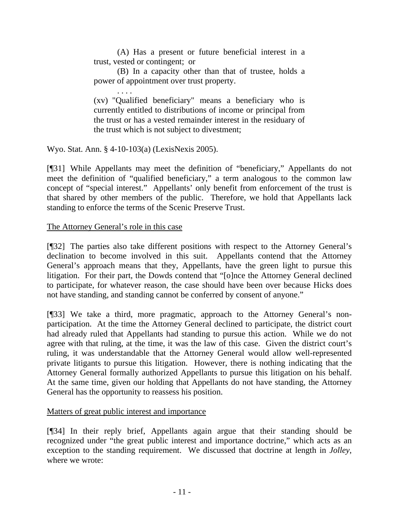(A) Has a present or future beneficial interest in a trust, vested or contingent; or

(B) In a capacity other than that of trustee, holds a power of appointment over trust property.

. . . . (xv) "Qualified beneficiary" means a beneficiary who is currently entitled to distributions of income or principal from the trust or has a vested remainder interest in the residuary of the trust which is not subject to divestment;

Wyo. Stat. Ann. § 4-10-103(a) (LexisNexis 2005).

[¶31] While Appellants may meet the definition of "beneficiary," Appellants do not meet the definition of "qualified beneficiary," a term analogous to the common law concept of "special interest." Appellants' only benefit from enforcement of the trust is that shared by other members of the public. Therefore, we hold that Appellants lack standing to enforce the terms of the Scenic Preserve Trust.

## The Attorney General's role in this case

[¶32] The parties also take different positions with respect to the Attorney General's declination to become involved in this suit. Appellants contend that the Attorney General's approach means that they, Appellants, have the green light to pursue this litigation. For their part, the Dowds contend that "[o]nce the Attorney General declined to participate, for whatever reason, the case should have been over because Hicks does not have standing, and standing cannot be conferred by consent of anyone."

[¶33] We take a third, more pragmatic, approach to the Attorney General's nonparticipation. At the time the Attorney General declined to participate, the district court had already ruled that Appellants had standing to pursue this action. While we do not agree with that ruling, at the time, it was the law of this case. Given the district court's ruling, it was understandable that the Attorney General would allow well-represented private litigants to pursue this litigation. However, there is nothing indicating that the Attorney General formally authorized Appellants to pursue this litigation on his behalf. At the same time, given our holding that Appellants do not have standing, the Attorney General has the opportunity to reassess his position.

Matters of great public interest and importance

[¶34] In their reply brief, Appellants again argue that their standing should be recognized under "the great public interest and importance doctrine," which acts as an exception to the standing requirement. We discussed that doctrine at length in *Jolley*, where we wrote: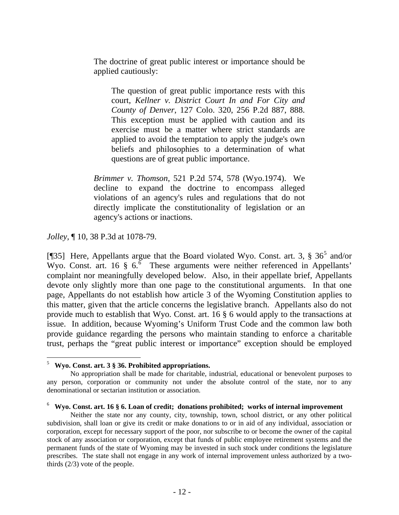The doctrine of great public interest or importance should be applied cautiously:

The question of great public importance rests with this court, *Kellner v. District Court In and For City and County of Denver*, 127 Colo. 320, 256 P.2d 887, 888. This exception must be applied with caution and its exercise must be a matter where strict standards are applied to avoid the temptation to apply the judge's own beliefs and philosophies to a determination of what questions are of great public importance.

*Brimmer v. Thomson*, 521 P.2d 574, 578 (Wyo.1974). We decline to expand the doctrine to encompass alleged violations of an agency's rules and regulations that do not directly implicate the constitutionality of legislation or an agency's actions or inactions.

*Jolley,* ¶ 10, 38 P.3d at 1078-79.

[¶3[5](#page-14-0)] Here, Appellants argue that the Board violated Wyo. Const. art. 3,  $\S 36^5$  and/or Wyo. Const. art. 1[6](#page-14-1)  $\frac{1}{5}$  6.<sup>6</sup> These arguments were neither referenced in Appellants' complaint nor meaningfully developed below. Also, in their appellate brief, Appellants devote only slightly more than one page to the constitutional arguments. In that one page, Appellants do not establish how article 3 of the Wyoming Constitution applies to this matter, given that the article concerns the legislative branch. Appellants also do not provide much to establish that Wyo. Const. art. 16 § 6 would apply to the transactions at issue. In addition, because Wyoming's Uniform Trust Code and the common law both provide guidance regarding the persons who maintain standing to enforce a charitable trust, perhaps the "great public interest or importance" exception should be employed

<sup>5</sup> **Wyo. Const. art. 3 § 36. Prohibited appropriations.**

<span id="page-14-0"></span>No appropriation shall be made for charitable, industrial, educational or benevolent purposes to any person, corporation or community not under the absolute control of the state, nor to any denominational or sectarian institution or association.

<span id="page-14-1"></span><sup>6</sup> **Wyo. Const. art. 16 § 6. Loan of credit; donations prohibited; works of internal improvement** 

Neither the state nor any county, city, township, town, school district, or any other political subdivision, shall loan or give its credit or make donations to or in aid of any individual, association or corporation, except for necessary support of the poor, nor subscribe to or become the owner of the capital stock of any association or corporation, except that funds of public employee retirement systems and the permanent funds of the state of Wyoming may be invested in such stock under conditions the legislature prescribes. The state shall not engage in any work of internal improvement unless authorized by a twothirds (2/3) vote of the people.